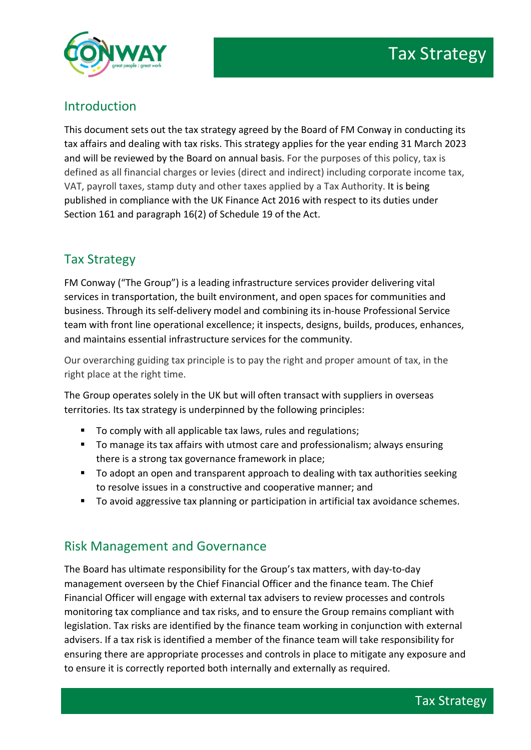

## Introduction

This document sets out the tax strategy agreed by the Board of FM Conway in conducting its tax affairs and dealing with tax risks. This strategy applies for the year ending 31 March 2023 and will be reviewed by the Board on annual basis. For the purposes of this policy, tax is defined as all financial charges or levies (direct and indirect) including corporate income tax, VAT, payroll taxes, stamp duty and other taxes applied by a Tax Authority. It is being published in compliance with the UK Finance Act 2016 with respect to its duties under Section 161 and paragraph 16(2) of Schedule 19 of the Act.

# Tax Strategy

FM Conway ("The Group") is a leading infrastructure services provider delivering vital services in transportation, the built environment, and open spaces for communities and business. Through its self-delivery model and combining its in-house Professional Service team with front line operational excellence; it inspects, designs, builds, produces, enhances, and maintains essential infrastructure services for the community.

Our overarching guiding tax principle is to pay the right and proper amount of tax, in the right place at the right time.

The Group operates solely in the UK but will often transact with suppliers in overseas territories. Its tax strategy is underpinned by the following principles:

- To comply with all applicable tax laws, rules and regulations;
- To manage its tax affairs with utmost care and professionalism; always ensuring there is a strong tax governance framework in place;
- To adopt an open and transparent approach to dealing with tax authorities seeking to resolve issues in a constructive and cooperative manner; and
- To avoid aggressive tax planning or participation in artificial tax avoidance schemes.

## Risk Management and Governance

The Board has ultimate responsibility for the Group's tax matters, with day-to-day management overseen by the Chief Financial Officer and the finance team. The Chief Financial Officer will engage with external tax advisers to review processes and controls monitoring tax compliance and tax risks, and to ensure the Group remains compliant with legislation. Tax risks are identified by the finance team working in conjunction with external advisers. If a tax risk is identified a member of the finance team will take responsibility for ensuring there are appropriate processes and controls in place to mitigate any exposure and to ensure it is correctly reported both internally and externally as required.